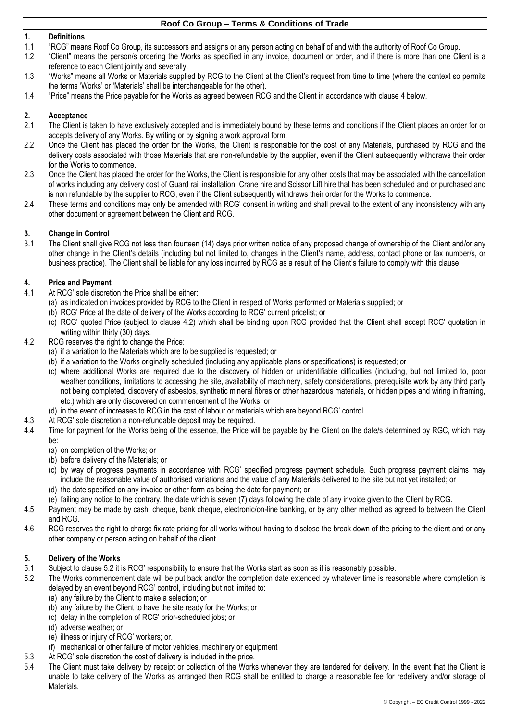### **1. Definitions**

- 1.1 "RCG" means Roof Co Group, its successors and assigns or any person acting on behalf of and with the authority of Roof Co Group.
- 1.2 "Client" means the person/s ordering the Works as specified in any invoice, document or order, and if there is more than one Client is a reference to each Client jointly and severally.
- 1.3 "Works" means all Works or Materials supplied by RCG to the Client at the Client's request from time to time (where the context so permits the terms 'Works' or 'Materials' shall be interchangeable for the other).
- 1.4 "Price" means the Price payable for the Works as agreed between RCG and the Client in accordance with clause [4](#page-0-0) below.

## **2. Acceptance**

- 2.1 The Client is taken to have exclusively accepted and is immediately bound by these terms and conditions if the Client places an order for or accepts delivery of any Works. By writing or by signing a work approval form.
- 2.2 Once the Client has placed the order for the Works, the Client is responsible for the cost of any Materials, purchased by RCG and the delivery costs associated with those Materials that are non-refundable by the supplier, even if the Client subsequently withdraws their order for the Works to commence.
- 2.3 Once the Client has placed the order for the Works, the Client is responsible for any other costs that may be associated with the cancellation of works including any delivery cost of Guard rail installation, Crane hire and Scissor Lift hire that has been scheduled and or purchased and is non refundable by the supplier to RCG, even if the Client subsequently withdraws their order for the Works to commence.
- 2.4 These terms and conditions may only be amended with RCG' consent in writing and shall prevail to the extent of any inconsistency with any other document or agreement between the Client and RCG.

## **3. Change in Control**

The Client shall give RCG not less than fourteen (14) days prior written notice of any proposed change of ownership of the Client and/or any other change in the Client's details (including but not limited to, changes in the Client's name, address, contact phone or fax number/s, or business practice). The Client shall be liable for any loss incurred by RCG as a result of the Client's failure to comply with this clause.

## <span id="page-0-0"></span>**4. Price and Payment**

- 4.1 At RCG' sole discretion the Price shall be either:
	- (a) as indicated on invoices provided by RCG to the Client in respect of Works performed or Materials supplied; or
	- (b) RCG' Price at the date of delivery of the Works according to RCG' current pricelist; or
	- (c) RCG' quoted Price (subject to clause [4.2\)](#page-0-1) which shall be binding upon RCG provided that the Client shall accept RCG' quotation in writing within thirty (30) days.
- <span id="page-0-1"></span>4.2 RCG reserves the right to change the Price:
	- (a) if a variation to the Materials which are to be supplied is requested; or
	- (b) if a variation to the Works originally scheduled (including any applicable plans or specifications) is requested; or
	- (c) where additional Works are required due to the discovery of hidden or unidentifiable difficulties (including, but not limited to, poor weather conditions, limitations to accessing the site, availability of machinery, safety considerations, prerequisite work by any third party not being completed, discovery of asbestos, synthetic mineral fibres or other hazardous materials, or hidden pipes and wiring in framing, etc.) which are only discovered on commencement of the Works; or
	- (d) in the event of increases to RCG in the cost of labour or materials which are beyond RCG' control.
- 4.3 At RCG' sole discretion a non-refundable deposit may be required.
- 4.4 Time for payment for the Works being of the essence, the Price will be payable by the Client on the date/s determined by RGC, which may be:
	- (a) on completion of the Works; or
	- (b) before delivery of the Materials; or
	- (c) by way of progress payments in accordance with RCG' specified progress payment schedule. Such progress payment claims may include the reasonable value of authorised variations and the value of any Materials delivered to the site but not yet installed; or
	- (d) the date specified on any invoice or other form as being the date for payment; or
	- (e) failing any notice to the contrary, the date which is seven (7) days following the date of any invoice given to the Client by RCG.
- 4.5 Payment may be made by cash, cheque, bank cheque, electronic/on-line banking, or by any other method as agreed to between the Client and RCG.
- 4.6 RCG reserves the right to charge fix rate pricing for all works without having to disclose the break down of the pricing to the client and or any other company or person acting on behalf of the client.

### **5. Delivery of the Works**

- 5.1 Subject to clause [5.2](#page-0-2) it is RCG' responsibility to ensure that the Works start as soon as it is reasonably possible.
- <span id="page-0-2"></span>5.2 The Works commencement date will be put back and/or the completion date extended by whatever time is reasonable where completion is delayed by an event beyond RCG' control, including but not limited to:
	- (a) any failure by the Client to make a selection; or
	- (b) any failure by the Client to have the site ready for the Works; or
	- (c) delay in the completion of RCG' prior-scheduled jobs; or
	- (d) adverse weather; or
	- (e) illness or injury of RCG' workers; or.
	- (f) mechanical or other failure of motor vehicles, machinery or equipment
- 5.3 At RCG' sole discretion the cost of delivery is included in the price.
- 5.4 The Client must take delivery by receipt or collection of the Works whenever they are tendered for delivery. In the event that the Client is unable to take delivery of the Works as arranged then RCG shall be entitled to charge a reasonable fee for redelivery and/or storage of Materials.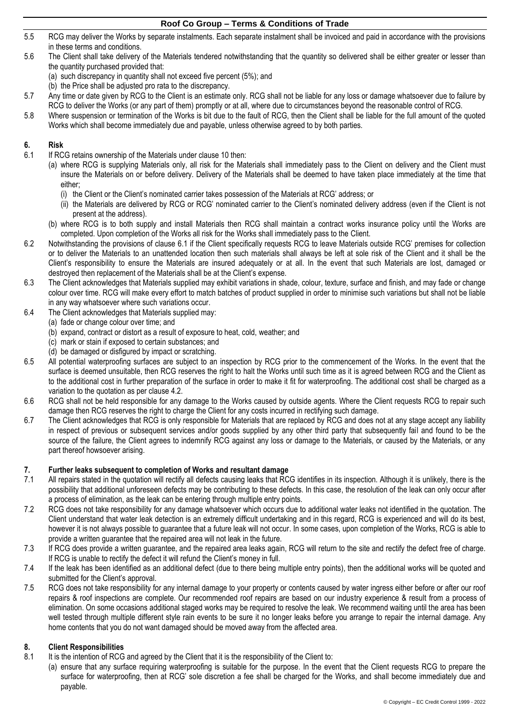- 5.5 RCG may deliver the Works by separate instalments. Each separate instalment shall be invoiced and paid in accordance with the provisions in these terms and conditions.
- 5.6 The Client shall take delivery of the Materials tendered notwithstanding that the quantity so delivered shall be either greater or lesser than the quantity purchased provided that:
	- (a) such discrepancy in quantity shall not exceed five percent (5%); and
	- (b) the Price shall be adjusted pro rata to the discrepancy.
- 5.7 Any time or date given by RCG to the Client is an estimate only. RCG shall not be liable for any loss or damage whatsoever due to failure by RCG to deliver the Works (or any part of them) promptly or at all, where due to circumstances beyond the reasonable control of RCG.
- 5.8 Where suspension or termination of the Works is bit due to the fault of RCG, then the Client shall be liable for the full amount of the quoted Works which shall become immediately due and payable, unless otherwise agreed to by both parties.

# **6. Risk**

- <span id="page-1-0"></span>If RCG retains ownership of the Materials under clause [10](#page-2-0) then:
	- (a) where RCG is supplying Materials only, all risk for the Materials shall immediately pass to the Client on delivery and the Client must insure the Materials on or before delivery. Delivery of the Materials shall be deemed to have taken place immediately at the time that either;
		- (i) the Client or the Client's nominated carrier takes possession of the Materials at RCG' address; or
		- (ii) the Materials are delivered by RCG or RCG' nominated carrier to the Client's nominated delivery address (even if the Client is not present at the address).
	- (b) where RCG is to both supply and install Materials then RCG shall maintain a contract works insurance policy until the Works are completed. Upon completion of the Works all risk for the Works shall immediately pass to the Client.
- 6.2 Notwithstanding the provisions of clause [6.1](#page-1-0) if the Client specifically requests RCG to leave Materials outside RCG' premises for collection or to deliver the Materials to an unattended location then such materials shall always be left at sole risk of the Client and it shall be the Client's responsibility to ensure the Materials are insured adequately or at all. In the event that such Materials are lost, damaged or destroyed then replacement of the Materials shall be at the Client's expense.
- 6.3 The Client acknowledges that Materials supplied may exhibit variations in shade, colour, texture, surface and finish, and may fade or change colour over time. RCG will make every effort to match batches of product supplied in order to minimise such variations but shall not be liable in any way whatsoever where such variations occur.
- 6.4 The Client acknowledges that Materials supplied may:
	- (a) fade or change colour over time; and
		- (b) expand, contract or distort as a result of exposure to heat, cold, weather; and
		- (c) mark or stain if exposed to certain substances; and
		- (d) be damaged or disfigured by impact or scratching.
- 6.5 All potential waterproofing surfaces are subject to an inspection by RCG prior to the commencement of the Works. In the event that the surface is deemed unsuitable, then RCG reserves the right to halt the Works until such time as it is agreed between RCG and the Client as to the additional cost in further preparation of the surface in order to make it fit for waterproofing. The additional cost shall be charged as a variation to the quotation as per clause [4.2.](#page-0-1)
- 6.6 RCG shall not be held responsible for any damage to the Works caused by outside agents. Where the Client requests RCG to repair such damage then RCG reserves the right to charge the Client for any costs incurred in rectifying such damage.
- 6.7 The Client acknowledges that RCG is only responsible for Materials that are replaced by RCG and does not at any stage accept any liability in respect of previous or subsequent services and/or goods supplied by any other third party that subsequently fail and found to be the source of the failure, the Client agrees to indemnify RCG against any loss or damage to the Materials, or caused by the Materials, or any part thereof howsoever arising.

### **7. Further leaks subsequent to completion of Works and resultant damage**

- 7.1 All repairs stated in the quotation will rectify all defects causing leaks that RCG identifies in its inspection. Although it is unlikely, there is the possibility that additional unforeseen defects may be contributing to these defects. In this case, the resolution of the leak can only occur after a process of elimination, as the leak can be entering through multiple entry points.
- 7.2 RCG does not take responsibility for any damage whatsoever which occurs due to additional water leaks not identified in the quotation. The Client understand that water leak detection is an extremely difficult undertaking and in this regard, RCG is experienced and will do its best, however it is not always possible to guarantee that a future leak will not occur. In some cases, upon completion of the Works, RCG is able to provide a written guarantee that the repaired area will not leak in the future.
- 7.3 If RCG does provide a written guarantee, and the repaired area leaks again, RCG will return to the site and rectify the defect free of charge. If RCG is unable to rectify the defect it will refund the Client's money in full.
- 7.4 If the leak has been identified as an additional defect (due to there being multiple entry points), then the additional works will be quoted and submitted for the Client's approval.
- 7.5 RCG does not take responsibility for any internal damage to your property or contents caused by water ingress either before or after our roof repairs & roof inspections are complete. Our recommended roof repairs are based on our industry experience & result from a process of elimination. On some occasions additional staged works may be required to resolve the leak. We recommend waiting until the area has been well tested through multiple different style rain events to be sure it no longer leaks before you arrange to repair the internal damage. Any home contents that you do not want damaged should be moved away from the affected area.

## **8. Client Responsibilities**

- 8.1 It is the intention of RCG and agreed by the Client that it is the responsibility of the Client to:
	- (a) ensure that any surface requiring waterproofing is suitable for the purpose. In the event that the Client requests RCG to prepare the surface for waterproofing, then at RCG' sole discretion a fee shall be charged for the Works, and shall become immediately due and payable.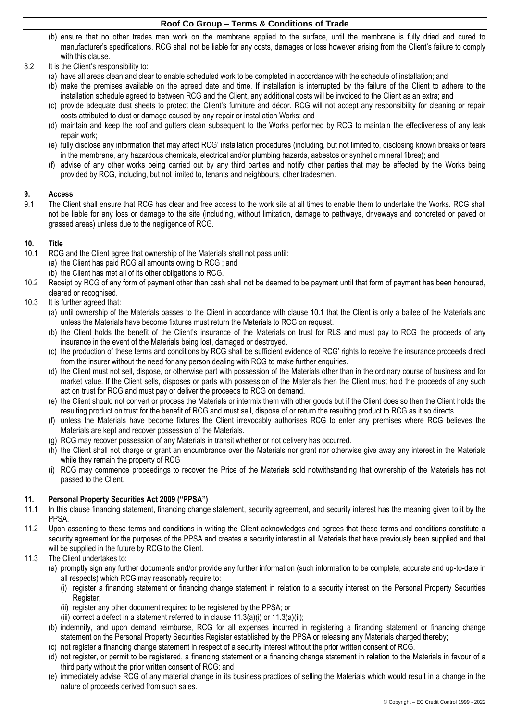- (b) ensure that no other trades men work on the membrane applied to the surface, until the membrane is fully dried and cured to manufacturer's specifications. RCG shall not be liable for any costs, damages or loss however arising from the Client's failure to comply with this clause.
- 8.2 It is the Client's responsibility to:
	- (a) have all areas clean and clear to enable scheduled work to be completed in accordance with the schedule of installation; and
	- (b) make the premises available on the agreed date and time. If installation is interrupted by the failure of the Client to adhere to the installation schedule agreed to between RCG and the Client, any additional costs will be invoiced to the Client as an extra; and
	- (c) provide adequate dust sheets to protect the Client's furniture and décor. RCG will not accept any responsibility for cleaning or repair costs attributed to dust or damage caused by any repair or installation Works: and
	- (d) maintain and keep the roof and gutters clean subsequent to the Works performed by RCG to maintain the effectiveness of any leak repair work;
	- (e) fully disclose any information that may affect RCG' installation procedures (including, but not limited to, disclosing known breaks or tears in the membrane, any hazardous chemicals, electrical and/or plumbing hazards, asbestos or synthetic mineral fibres); and
	- (f) advise of any other works being carried out by any third parties and notify other parties that may be affected by the Works being provided by RCG, including, but not limited to, tenants and neighbours, other tradesmen.

## **9. Access**

9.1 The Client shall ensure that RCG has clear and free access to the work site at all times to enable them to undertake the Works. RCG shall not be liable for any loss or damage to the site (including, without limitation, damage to pathways, driveways and concreted or paved or grassed areas) unless due to the negligence of RCG.

#### <span id="page-2-0"></span>**10. Title**

- <span id="page-2-1"></span>10.1 RCG and the Client agree that ownership of the Materials shall not pass until:
	- (a) the Client has paid RCG all amounts owing to RCG ; and
		- (b) the Client has met all of its other obligations to RCG.
- 10.2 Receipt by RCG of any form of payment other than cash shall not be deemed to be payment until that form of payment has been honoured, cleared or recognised.
- 10.3 It is further agreed that:
	- (a) until ownership of the Materials passes to the Client in accordance with clause [10.1](#page-2-1) that the Client is only a bailee of the Materials and unless the Materials have become fixtures must return the Materials to RCG on request.
	- (b) the Client holds the benefit of the Client's insurance of the Materials on trust for RLS and must pay to RCG the proceeds of any insurance in the event of the Materials being lost, damaged or destroyed.
	- (c) the production of these terms and conditions by RCG shall be sufficient evidence of RCG' rights to receive the insurance proceeds direct from the insurer without the need for any person dealing with RCG to make further enquiries.
	- (d) the Client must not sell, dispose, or otherwise part with possession of the Materials other than in the ordinary course of business and for market value. If the Client sells, disposes or parts with possession of the Materials then the Client must hold the proceeds of any such act on trust for RCG and must pay or deliver the proceeds to RCG on demand.
	- (e) the Client should not convert or process the Materials or intermix them with other goods but if the Client does so then the Client holds the resulting product on trust for the benefit of RCG and must sell, dispose of or return the resulting product to RCG as it so directs.
	- (f) unless the Materials have become fixtures the Client irrevocably authorises RCG to enter any premises where RCG believes the Materials are kept and recover possession of the Materials.
	- (g) RCG may recover possession of any Materials in transit whether or not delivery has occurred.
	- (h) the Client shall not charge or grant an encumbrance over the Materials nor grant nor otherwise give away any interest in the Materials while they remain the property of RCG
	- (i) RCG may commence proceedings to recover the Price of the Materials sold notwithstanding that ownership of the Materials has not passed to the Client.

#### **11. Personal Property Securities Act 2009 ("PPSA")**

- 11.1 In this clause financing statement, financing change statement, security agreement, and security interest has the meaning given to it by the PPSA.
- 11.2 Upon assenting to these terms and conditions in writing the Client acknowledges and agrees that these terms and conditions constitute a security agreement for the purposes of the PPSA and creates a security interest in all Materials that have previously been supplied and that will be supplied in the future by RCG to the Client.
- <span id="page-2-4"></span><span id="page-2-3"></span><span id="page-2-2"></span>11.3 The Client undertakes to:
	- (a) promptly sign any further documents and/or provide any further information (such information to be complete, accurate and up-to-date in all respects) which RCG may reasonably require to:
		- (i) register a financing statement or financing change statement in relation to a security interest on the Personal Property Securities Register;
		- (ii) register any other document required to be registered by the PPSA; or

(iii) correct a defect in a statement referred to in clause  $11.3(a)(i)$  $11.3(a)(i)$  $11.3(a)(i)$  or  $11.3(a)(ii)$ ;

- <span id="page-2-5"></span>(b) indemnify, and upon demand reimburse, RCG for all expenses incurred in registering a financing statement or financing change statement on the Personal Property Securities Register established by the PPSA or releasing any Materials charged thereby;
- (c) not register a financing change statement in respect of a security interest without the prior written consent of RCG.
- (d) not register, or permit to be registered, a financing statement or a financing change statement in relation to the Materials in favour of a third party without the prior written consent of RCG; and
- (e) immediately advise RCG of any material change in its business practices of selling the Materials which would result in a change in the nature of proceeds derived from such sales.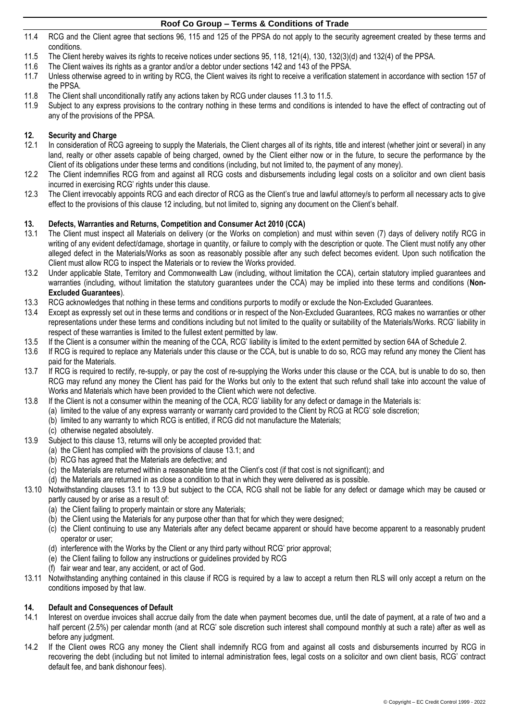- 11.4 RCG and the Client agree that sections 96, 115 and 125 of the PPSA do not apply to the security agreement created by these terms and conditions.
- <span id="page-3-0"></span>11.5 The Client hereby waives its rights to receive notices under sections 95, 118, 121(4), 130, 132(3)(d) and 132(4) of the PPSA.
- 11.6 The Client waives its rights as a grantor and/or a debtor under sections 142 and 143 of the PPSA.
- 11.7 Unless otherwise agreed to in writing by RCG, the Client waives its right to receive a verification statement in accordance with section 157 of the PPSA.
- 11.8 The Client shall unconditionally ratify any actions taken by RCG under clauses [11.3](#page-2-2) to [11.5.](#page-3-0)
- 11.9 Subject to any express provisions to the contrary nothing in these terms and conditions is intended to have the effect of contracting out of any of the provisions of the PPSA.

## <span id="page-3-1"></span>**12. Security and Charge**

- In consideration of RCG agreeing to supply the Materials, the Client charges all of its rights, title and interest (whether joint or several) in any land, realty or other assets capable of being charged, owned by the Client either now or in the future, to secure the performance by the Client of its obligations under these terms and conditions (including, but not limited to, the payment of any money).
- 12.2 The Client indemnifies RCG from and against all RCG costs and disbursements including legal costs on a solicitor and own client basis incurred in exercising RCG' rights under this clause.
- 12.3 The Client irrevocably appoints RCG and each director of RCG as the Client's true and lawful attorney/s to perform all necessary acts to give effect to the provisions of this clause [12](#page-3-1) including, but not limited to, signing any document on the Client's behalf.

## <span id="page-3-2"></span>**13. Defects, Warranties and Returns, Competition and Consumer Act 2010 (CCA)**

- <span id="page-3-3"></span>The Client must inspect all Materials on delivery (or the Works on completion) and must within seven (7) days of delivery notify RCG in writing of any evident defect/damage, shortage in quantity, or failure to comply with the description or quote. The Client must notify any other alleged defect in the Materials/Works as soon as reasonably possible after any such defect becomes evident. Upon such notification the Client must allow RCG to inspect the Materials or to review the Works provided.
- 13.2 Under applicable State, Territory and Commonwealth Law (including, without limitation the CCA), certain statutory implied guarantees and warranties (including, without limitation the statutory guarantees under the CCA) may be implied into these terms and conditions (**Non-Excluded Guarantees**).
- 13.3 RCG acknowledges that nothing in these terms and conditions purports to modify or exclude the Non-Excluded Guarantees.
- 13.4 Except as expressly set out in these terms and conditions or in respect of the Non-Excluded Guarantees, RCG makes no warranties or other representations under these terms and conditions including but not limited to the quality or suitability of the Materials/Works. RCG' liability in respect of these warranties is limited to the fullest extent permitted by law.
- 13.5 If the Client is a consumer within the meaning of the CCA, RCG' liability is limited to the extent permitted by section 64A of Schedule 2.
- 13.6 If RCG is required to replace any Materials under this clause or the CCA, but is unable to do so, RCG may refund any money the Client has paid for the Materials.
- 13.7 If RCG is required to rectify, re-supply, or pay the cost of re-supplying the Works under this clause or the CCA, but is unable to do so, then RCG may refund any money the Client has paid for the Works but only to the extent that such refund shall take into account the value of Works and Materials which have been provided to the Client which were not defective.
- 13.8 If the Client is not a consumer within the meaning of the CCA, RCG' liability for any defect or damage in the Materials is:
	- (a) limited to the value of any express warranty or warranty card provided to the Client by RCG at RCG' sole discretion;
	- (b) limited to any warranty to which RCG is entitled, if RCG did not manufacture the Materials;
	- (c) otherwise negated absolutely.
- <span id="page-3-4"></span>13.9 Subject to this clause [13,](#page-3-2) returns will only be accepted provided that:
	- (a) the Client has complied with the provisions of clause [13.1;](#page-3-3) and
	- (b) RCG has agreed that the Materials are defective; and
	- (c) the Materials are returned within a reasonable time at the Client's cost (if that cost is not significant); and
	- (d) the Materials are returned in as close a condition to that in which they were delivered as is possible.
- 13.10 Notwithstanding clauses [13.1](#page-3-3) to [13.9](#page-3-4) but subject to the CCA, RCG shall not be liable for any defect or damage which may be caused or partly caused by or arise as a result of:
	- (a) the Client failing to properly maintain or store any Materials;
	- (b) the Client using the Materials for any purpose other than that for which they were designed;
	- (c) the Client continuing to use any Materials after any defect became apparent or should have become apparent to a reasonably prudent operator or user;
	- (d) interference with the Works by the Client or any third party without RCG' prior approval;
	- (e) the Client failing to follow any instructions or guidelines provided by RCG
	- (f) fair wear and tear, any accident, or act of God.
- 13.11 Notwithstanding anything contained in this clause if RCG is required by a law to accept a return then RLS will only accept a return on the conditions imposed by that law.

#### **14. Default and Consequences of Default**

- 14.1 Interest on overdue invoices shall accrue daily from the date when payment becomes due, until the date of payment, at a rate of two and a half percent (2.5%) per calendar month (and at RCG' sole discretion such interest shall compound monthly at such a rate) after as well as before any judgment.
- 14.2 If the Client owes RCG any money the Client shall indemnify RCG from and against all costs and disbursements incurred by RCG in recovering the debt (including but not limited to internal administration fees, legal costs on a solicitor and own client basis, RCG' contract default fee, and bank dishonour fees).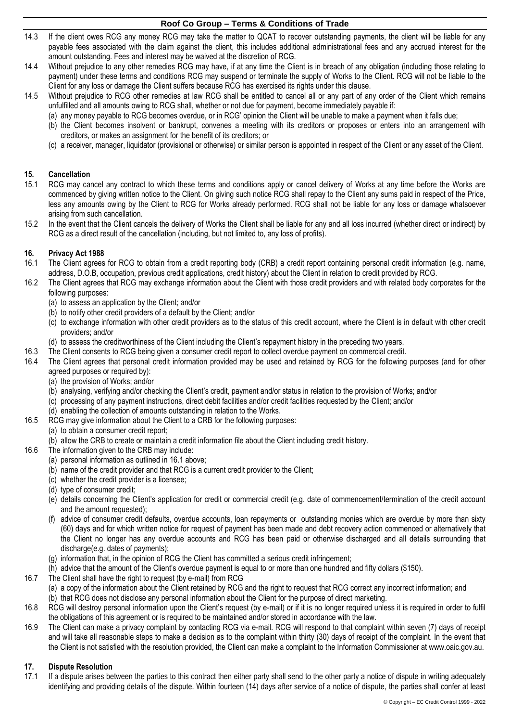- 14.3 If the client owes RCG any money RCG may take the matter to QCAT to recover outstanding payments, the client will be liable for any payable fees associated with the claim against the client, this includes additional administrational fees and any accrued interest for the amount outstanding. Fees and interest may be waived at the discretion of RCG.
- 14.4 Without prejudice to any other remedies RCG may have, if at any time the Client is in breach of any obligation (including those relating to payment) under these terms and conditions RCG may suspend or terminate the supply of Works to the Client. RCG will not be liable to the Client for any loss or damage the Client suffers because RCG has exercised its rights under this clause.
- 14.5 Without prejudice to RCG other remedies at law RCG shall be entitled to cancel all or any part of any order of the Client which remains unfulfilled and all amounts owing to RCG shall, whether or not due for payment, become immediately payable if:
	- (a) any money payable to RCG becomes overdue, or in RCG' opinion the Client will be unable to make a payment when it falls due;
	- (b) the Client becomes insolvent or bankrupt, convenes a meeting with its creditors or proposes or enters into an arrangement with creditors, or makes an assignment for the benefit of its creditors; or
	- (c) a receiver, manager, liquidator (provisional or otherwise) or similar person is appointed in respect of the Client or any asset of the Client.

#### **15. Cancellation**

- 15.1 RCG may cancel any contract to which these terms and conditions apply or cancel delivery of Works at any time before the Works are commenced by giving written notice to the Client. On giving such notice RCG shall repay to the Client any sums paid in respect of the Price, less any amounts owing by the Client to RCG for Works already performed. RCG shall not be liable for any loss or damage whatsoever arising from such cancellation.
- 15.2 In the event that the Client cancels the delivery of Works the Client shall be liable for any and all loss incurred (whether direct or indirect) by RCG as a direct result of the cancellation (including, but not limited to, any loss of profits).

#### **16. Privacy Act 1988**

- <span id="page-4-0"></span>16.1 The Client agrees for RCG to obtain from a credit reporting body (CRB) a credit report containing personal credit information (e.g. name, address, D.O.B, occupation, previous credit applications, credit history) about the Client in relation to credit provided by RCG.
- 16.2 The Client agrees that RCG may exchange information about the Client with those credit providers and with related body corporates for the following purposes:
	- (a) to assess an application by the Client; and/or
	- (b) to notify other credit providers of a default by the Client; and/or
	- (c) to exchange information with other credit providers as to the status of this credit account, where the Client is in default with other credit providers; and/or
	- (d) to assess the creditworthiness of the Client including the Client's repayment history in the preceding two years.
- 16.3 The Client consents to RCG being given a consumer credit report to collect overdue payment on commercial credit.
- 16.4 The Client agrees that personal credit information provided may be used and retained by RCG for the following purposes (and for other agreed purposes or required by):
	- (a) the provision of Works; and/or
	- (b) analysing, verifying and/or checking the Client's credit, payment and/or status in relation to the provision of Works; and/or
	- (c) processing of any payment instructions, direct debit facilities and/or credit facilities requested by the Client; and/or
	- (d) enabling the collection of amounts outstanding in relation to the Works.
- 16.5 RCG may give information about the Client to a CRB for the following purposes:
- (a) to obtain a consumer credit report;
	- (b) allow the CRB to create or maintain a credit information file about the Client including credit history.
- 16.6 The information given to the CRB may include:
	- (a) personal information as outlined in [16.1](#page-4-0) above;
	- (b) name of the credit provider and that RCG is a current credit provider to the Client;
	- (c) whether the credit provider is a licensee;
	- (d) type of consumer credit;
	- (e) details concerning the Client's application for credit or commercial credit (e.g. date of commencement/termination of the credit account and the amount requested);
	- (f) advice of consumer credit defaults, overdue accounts, loan repayments or outstanding monies which are overdue by more than sixty (60) days and for which written notice for request of payment has been made and debt recovery action commenced or alternatively that the Client no longer has any overdue accounts and RCG has been paid or otherwise discharged and all details surrounding that discharge(e.g. dates of payments);
	- (g) information that, in the opinion of RCG the Client has committed a serious credit infringement;
	- (h) advice that the amount of the Client's overdue payment is equal to or more than one hundred and fifty dollars (\$150).
- 16.7 The Client shall have the right to request (by e-mail) from RCG
	- (a) a copy of the information about the Client retained by RCG and the right to request that RCG correct any incorrect information; and
	- (b) that RCG does not disclose any personal information about the Client for the purpose of direct marketing.
- 16.8 RCG will destroy personal information upon the Client's request (by e-mail) or if it is no longer required unless it is required in order to fulfil the obligations of this agreement or is required to be maintained and/or stored in accordance with the law.
- 16.9 The Client can make a privacy complaint by contacting RCG via e-mail. RCG will respond to that complaint within seven (7) days of receipt and will take all reasonable steps to make a decision as to the complaint within thirty (30) days of receipt of the complaint. In the event that the Client is not satisfied with the resolution provided, the Client can make a complaint to the Information Commissioner at www.oaic.gov.au.

## **17. Dispute Resolution**

17.1 If a dispute arises between the parties to this contract then either party shall send to the other party a notice of dispute in writing adequately identifying and providing details of the dispute. Within fourteen (14) days after service of a notice of dispute, the parties shall confer at least